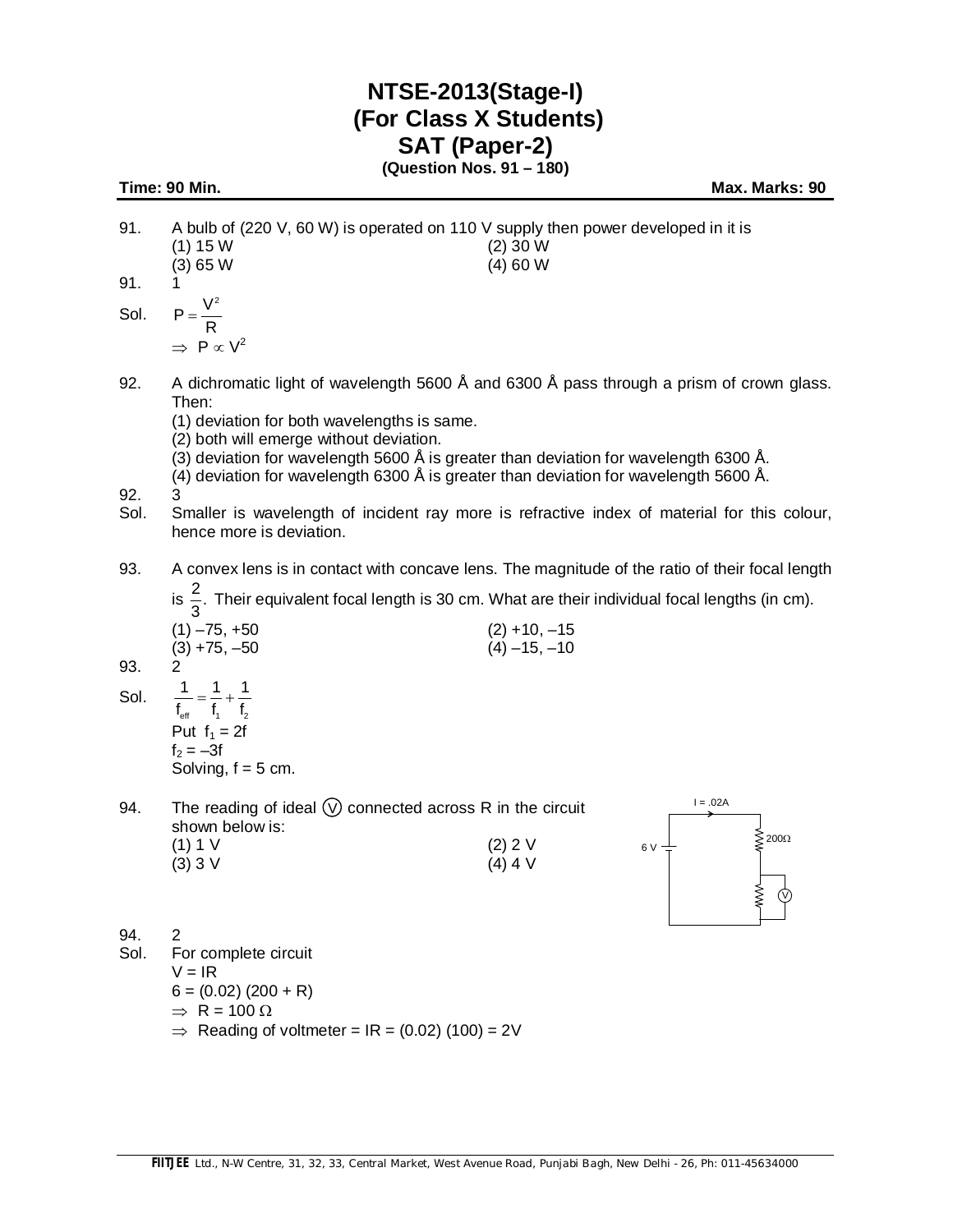## **NTSE-2013(Stage-I) (For Class X Students) SAT (Paper-2)**

**(Question Nos. 91 – 180)**

**Time: 90 Min.** Max. Marks: 90

- 91. A bulb of (220 V, 60 W) is operated on 110 V supply then power developed in it is (1) 15 W (2) 30 W (3) 65 W (4) 60 W 91. 1
- 

Sol.  $P=\frac{V^2}{R}$ R  $=$  $\Rightarrow$  P  $\propto$  V<sup>2</sup>

92. A dichromatic light of wavelength 5600 Å and 6300 Å pass through a prism of crown glass. Then:

(1) deviation for both wavelengths is same.

- (2) both will emerge without deviation.
- (3) deviation for wavelength 5600 Å is greater than deviation for wavelength 6300 Å.
- (4) deviation for wavelength 6300 Å is greater than deviation for wavelength 5600 Å.

92. 3

- Sol. Smaller is wavelength of incident ray more is refractive index of material for this colour, hence more is deviation.
- 93. A convex lens is in contact with concave lens. The magnitude of the ratio of their focal length

is  $\frac{2}{5}$ . Their equivalent focal length is 30 cm. What are their individual focal lengths (in cm).

| ____            |                 |
|-----------------|-----------------|
| $(1) - 75, +50$ | $(2) + 10, -15$ |
| $(3) + 75, -50$ | $(4) -15, -10$  |
|                 |                 |
| 1               |                 |

93.

- Sol.  $f_{\text{eff}}$   $f_1$   $f_2$  $= - + 1$ Put  $f_1 = 2f$  $f_2 = -3f$ Solving,  $f = 5$  cm.
- 94. The reading of ideal  $(\nabla)$  connected across R in the circuit shown below is: (1) 1 V (2) 2 V (3) 3 V (4) 4 V  $(3) 3 V$



94. 2 Sol. For complete circuit  $V = IR$  $6 = (0.02) (200 + R)$  $\Rightarrow$  R = 100  $\Omega$  $\Rightarrow$  Reading of voltmeter = IR = (0.02) (100) = 2V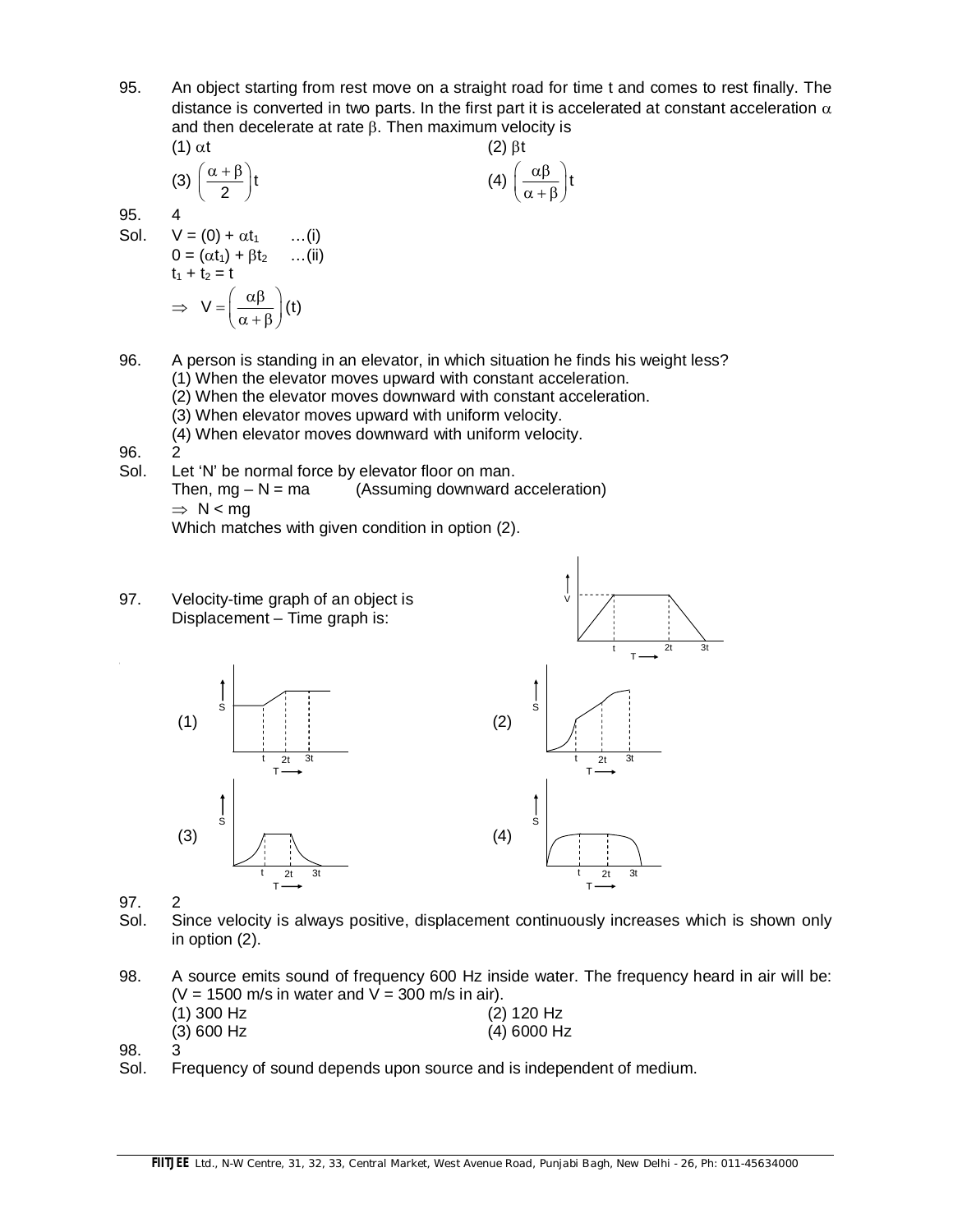95. An object starting from rest move on a straight road for time t and comes to rest finally. The distance is converted in two parts. In the first part it is accelerated at constant acceleration  $\alpha$ and then decelerate at rate  $\beta$ . Then maximum velocity is

(1) 
$$
\alpha t
$$
  
\n(2)  $\beta t$   
\n(3)  $\left(\frac{\alpha + \beta}{2}\right)t$   
\n(4)  $\left(\frac{\alpha \beta}{\alpha + \beta}\right)t$   
\n95. 4  
\nSol.  $V = (0) + \alpha t_1$  ...(i)  
\n $0 = (\alpha t_1) + \beta t_2$  ...(ii)  
\n $t_1 + t_2 = t$ 

- 96. A person is standing in an elevator, in which situation he finds his weight less? (1) When the elevator moves upward with constant acceleration.
	- (2) When the elevator moves downward with constant acceleration.
	- (3) When elevator moves upward with uniform velocity.
	- (4) When elevator moves downward with uniform velocity.
- 96.<br>Sol.

95. 4

Let 'N' be normal force by elevator floor on man. Then,  $mg - N = ma$  (Assuming downward acceleration)  $\Rightarrow$  N < ma

Which matches with given condition in option (2).

97. Velocity-time graph of an object is Displacement – Time graph is:

 $\Rightarrow V = \left(\frac{\alpha \beta}{\alpha + \beta}\right)(t)$ 



97. 2

Sol. Since velocity is always positive, displacement continuously increases which is shown only in option (2).

V

- 98. A source emits sound of frequency 600 Hz inside water. The frequency heard in air will be:  $(V = 1500$  m/s in water and  $V = 300$  m/s in air). (1) 300 Hz (2) 120 Hz (3) 600 Hz (4) 6000 Hz
- 98. 3<br>Sol. F
- Frequency of sound depends upon source and is independent of medium.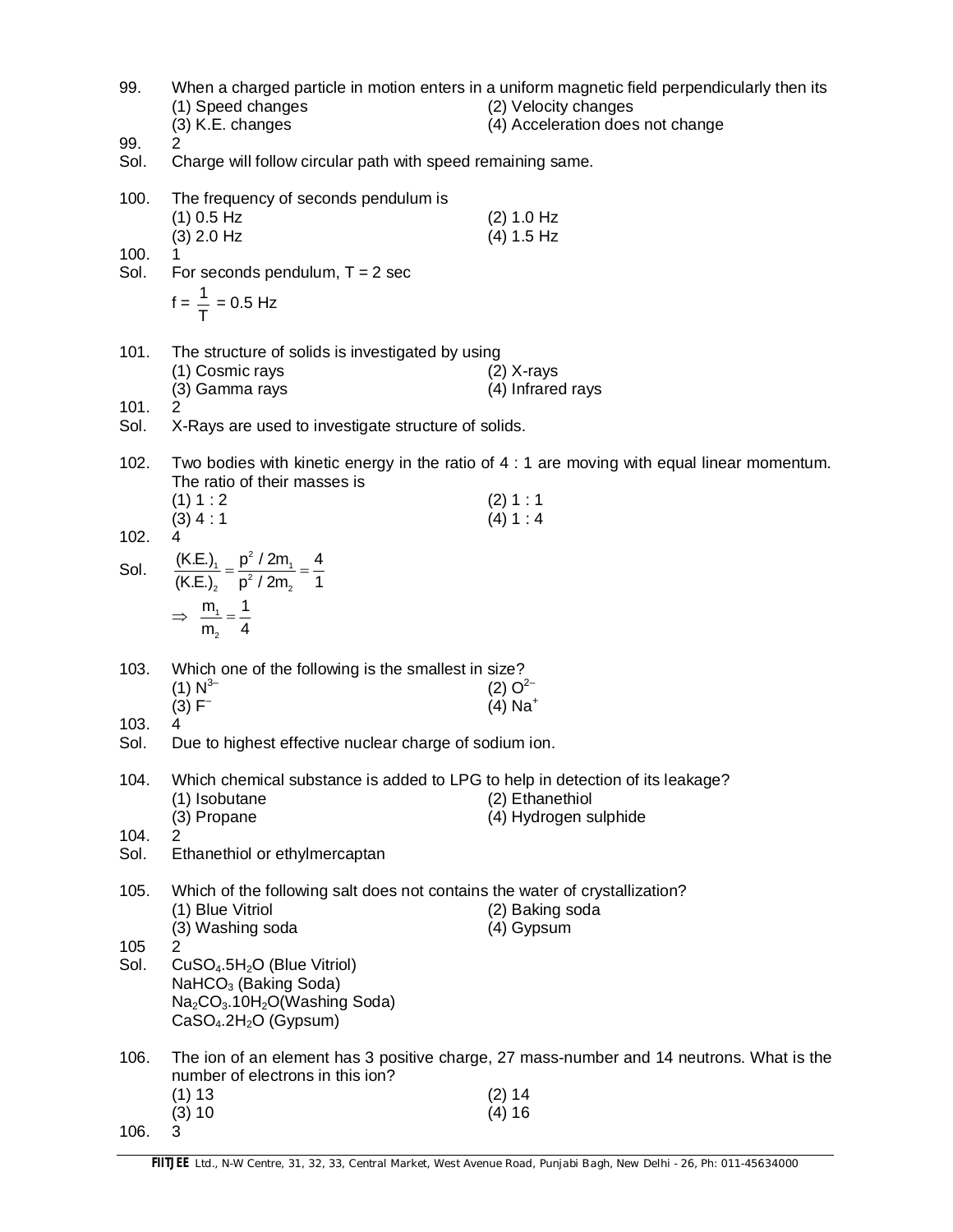| 99.          | (1) Speed changes<br>(3) K.E. changes                                                                                                       | When a charged particle in motion enters in a uniform magnetic field perpendicularly then its<br>(2) Velocity changes<br>(4) Acceleration does not change |
|--------------|---------------------------------------------------------------------------------------------------------------------------------------------|-----------------------------------------------------------------------------------------------------------------------------------------------------------|
| 99.<br>Sol.  | 2<br>Charge will follow circular path with speed remaining same.                                                                            |                                                                                                                                                           |
| 100.         | The frequency of seconds pendulum is<br>$(1)$ 0.5 Hz<br>$(3)$ 2.0 Hz                                                                        | (2) 1.0 Hz<br>(4) 1.5 Hz                                                                                                                                  |
| 100.<br>Sol. | For seconds pendulum, $T = 2$ sec<br>$f = \frac{1}{T} = 0.5$ Hz                                                                             |                                                                                                                                                           |
| 101.         | The structure of solids is investigated by using<br>(1) Cosmic rays<br>(3) Gamma rays                                                       | $(2)$ X-rays<br>(4) Infrared rays                                                                                                                         |
| 101.<br>Sol. | 2<br>X-Rays are used to investigate structure of solids.                                                                                    |                                                                                                                                                           |
| 102.         | The ratio of their masses is                                                                                                                | Two bodies with kinetic energy in the ratio of 4 : 1 are moving with equal linear momentum.                                                               |
| 102.         | (1) 1:2<br>$(3)$ 4 : 1<br>4                                                                                                                 | (2) 1 : 1<br>(4) 1:4                                                                                                                                      |
| Sol.         | $\frac{(K.E.)_1}{(K.E.)_2} = \frac{p^2 / 2m_1}{p^2 / 2m_2} = \frac{4}{1}$<br>$\Rightarrow \frac{m_1}{m_2} = \frac{1}{4}$                    |                                                                                                                                                           |
| 103.         | Which one of the following is the smallest in size?<br>$(1) N^{3-}$<br>$(3) F^{-}$                                                          | $(2) O2-$<br>$(4)$ Na <sup>+</sup>                                                                                                                        |
| 103.<br>Sol. | 4<br>Due to highest effective nuclear charge of sodium ion.                                                                                 |                                                                                                                                                           |
| 104.         | Which chemical substance is added to LPG to help in detection of its leakage?<br>(1) Isobutane<br>(3) Propane                               | (2) Ethanethiol<br>(4) Hydrogen sulphide                                                                                                                  |
| 104.<br>Sol. | 2<br>Ethanethiol or ethylmercaptan                                                                                                          |                                                                                                                                                           |
| 105.         | Which of the following salt does not contains the water of crystallization?<br>(1) Blue Vitriol<br>(3) Washing soda                         | (2) Baking soda<br>(4) Gypsum                                                                                                                             |
| 105<br>Sol.  | 2<br>$CuSO4.5H2O$ (Blue Vitriol)<br>NaHCO <sub>3</sub> (Baking Soda)<br>$Na2CO3$ .10H <sub>2</sub> O(Washing Soda)<br>$CaSO4.2H2O$ (Gypsum) |                                                                                                                                                           |
| 106.         | number of electrons in this ion?                                                                                                            | The ion of an element has 3 positive charge, 27 mass-number and 14 neutrons. What is the                                                                  |
| 106.         | (1) 13<br>(3) 10<br>3                                                                                                                       | (2) 14<br>(4) 16                                                                                                                                          |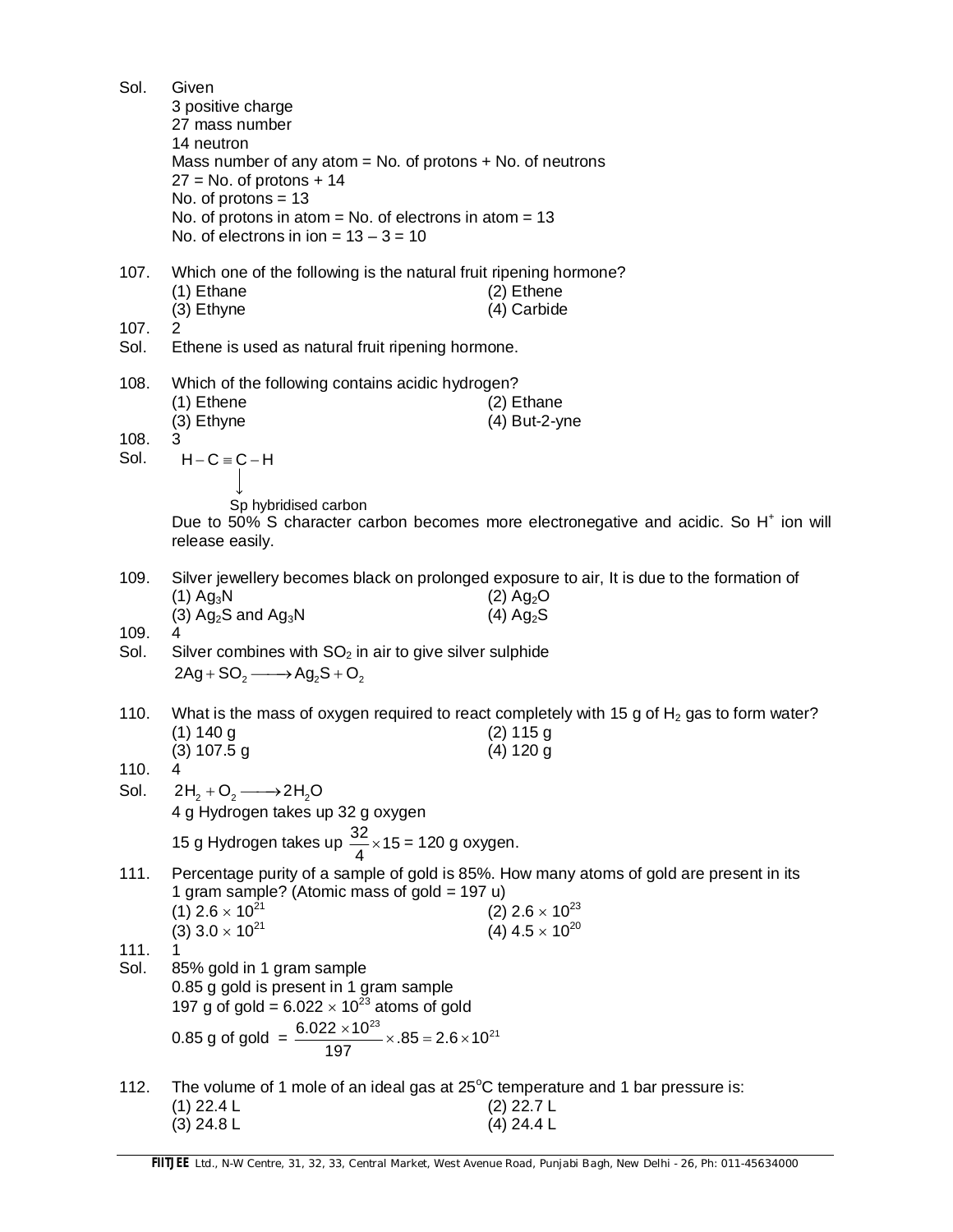| Sol.                 | Given<br>3 positive charge<br>27 mass number<br>14 neutron<br>Mass number of any atom $=$ No. of protons $+$ No. of neutrons<br>$27 = No.$ of protons + 14<br>No. of protons $= 13$<br>No. of protons in atom = No. of electrons in atom = $13$<br>No. of electrons in ion = $13 - 3 = 10$ |                                                                                                                                                                       |
|----------------------|--------------------------------------------------------------------------------------------------------------------------------------------------------------------------------------------------------------------------------------------------------------------------------------------|-----------------------------------------------------------------------------------------------------------------------------------------------------------------------|
| 107.<br>107.<br>Sol. | Which one of the following is the natural fruit ripening hormone?<br>(1) Ethane<br>(3) Ethyne<br>2<br>Ethene is used as natural fruit ripening hormone.                                                                                                                                    | (2) Ethene<br>(4) Carbide                                                                                                                                             |
|                      |                                                                                                                                                                                                                                                                                            |                                                                                                                                                                       |
| 108.<br>108.<br>Sol. | Which of the following contains acidic hydrogen?<br>(1) Ethene<br>(3) Ethyne<br>3.<br>$H - C \equiv C - H$                                                                                                                                                                                 | $(2)$ Ethane<br>(4) But-2-yne                                                                                                                                         |
|                      | Sp hybridised carbon<br>release easily.                                                                                                                                                                                                                                                    | Due to 50% S character carbon becomes more electronegative and acidic. So H <sup>+</sup> ion will                                                                     |
| 109.                 | $(1)$ Ag <sub>3</sub> N<br>(3) $Ag_2S$ and $Ag_3N$                                                                                                                                                                                                                                         | Silver jewellery becomes black on prolonged exposure to air, It is due to the formation of<br>$(2)$ Ag <sub>2</sub> O<br>$(4)$ Ag <sub>2</sub> S                      |
| 109.<br>Sol.         | Silver combines with $SO2$ in air to give silver sulphide<br>$2Ag + SO_2 \longrightarrow Ag_2S + O_2$                                                                                                                                                                                      |                                                                                                                                                                       |
| 110.                 | $(1)$ 140 g<br>$(3)$ 107.5 g                                                                                                                                                                                                                                                               | What is the mass of oxygen required to react completely with 15 g of $H_2$ gas to form water?<br>$(2)$ 115 g<br>$(4)$ 120 g                                           |
| 110.<br>Sol.         | 4<br>$2H_2 + O_2 \longrightarrow 2H_2O$<br>4 g Hydrogen takes up 32 g oxygen<br>15 g Hydrogen takes up $\frac{32}{4} \times 15 = 120$ g oxygen.                                                                                                                                            |                                                                                                                                                                       |
| 111.                 | 1 gram sample? (Atomic mass of gold = 197 u)<br>$(1)$ 2.6 $\times$ 10 <sup>21</sup><br>(3) $3.0 \times 10^{21}$                                                                                                                                                                            | Percentage purity of a sample of gold is 85%. How many atoms of gold are present in its<br>$(2)$ 2.6 $\times$ 10 <sup>23</sup><br>$(4)$ 4.5 $\times$ 10 <sup>20</sup> |
| 111.<br>Sol.         | 1<br>85% gold in 1 gram sample<br>0.85 g gold is present in 1 gram sample<br>197 g of gold = $6.022 \times 10^{23}$ atoms of gold<br>0.85 g of gold = $\frac{6.022 \times 10^{23}}{197} \times .85 = 2.6 \times 10^{21}$                                                                   |                                                                                                                                                                       |
| 112.                 | The volume of 1 mole of an ideal gas at $25^{\circ}$ C temperature and 1 bar pressure is:<br>$(1)$ 22.4 L                                                                                                                                                                                  | $(2)$ 22.7 L                                                                                                                                                          |

(3) 24.8 L (4) 24.4 L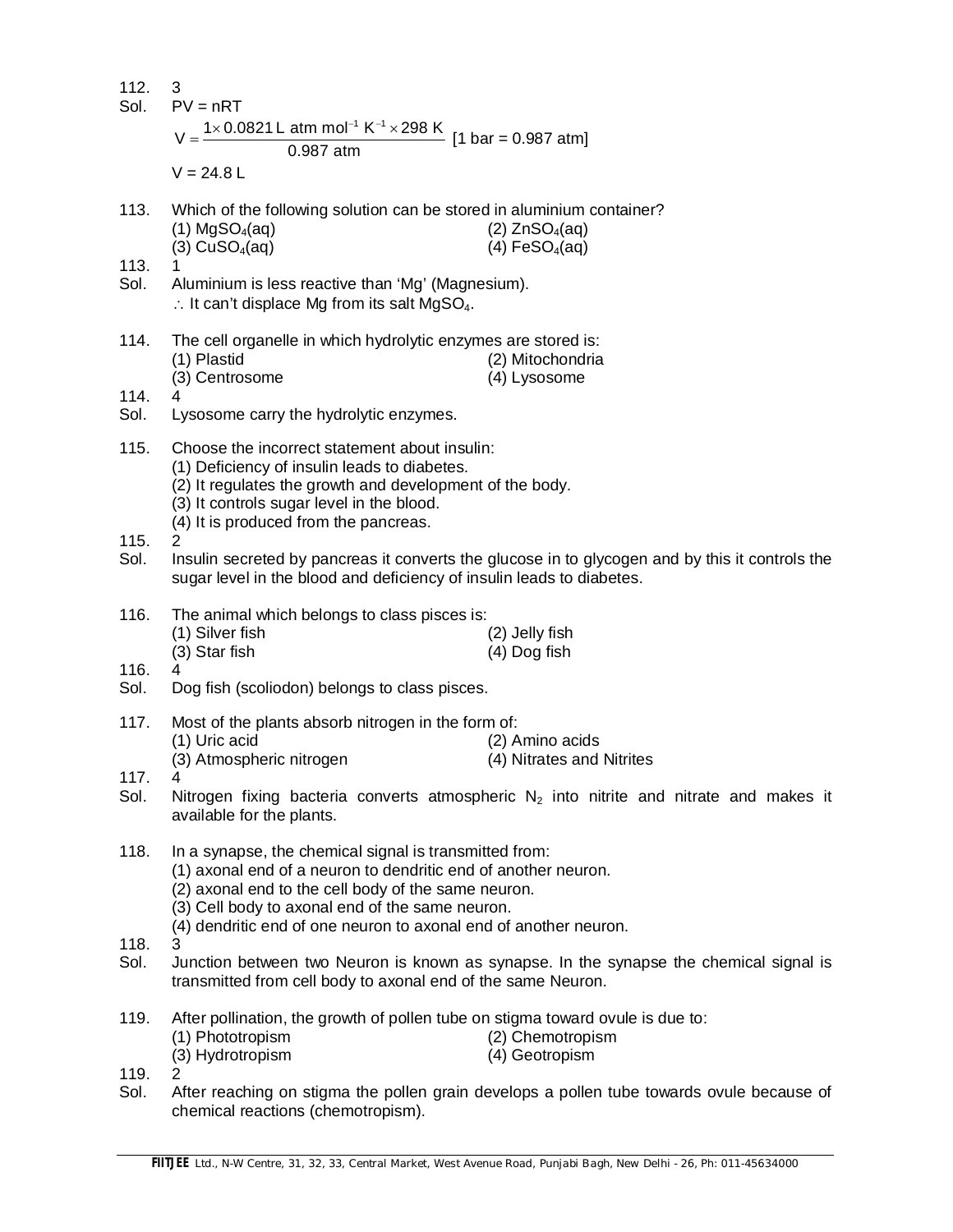| 112.<br>Sol.         | 3<br>$PV = nRT$<br>$1 \times 0.0821$ L atm mol <sup>-1</sup> K <sup>-1</sup> $\times$ 298 K [1 bar = 0.987 atm]<br>0.987 atm<br>$V = 24.8 L$                                                                                                                                                           |                                                                                                 |
|----------------------|--------------------------------------------------------------------------------------------------------------------------------------------------------------------------------------------------------------------------------------------------------------------------------------------------------|-------------------------------------------------------------------------------------------------|
| 113.                 | Which of the following solution can be stored in aluminium container?<br>$(1)$ MgSO <sub>4</sub> (aq)<br>$(3)$ CuSO <sub>4</sub> (aq)                                                                                                                                                                  | $(2)$ ZnSO <sub>4</sub> (aq)<br>$(4)$ FeSO <sub>4</sub> (aq)                                    |
| 113.<br>Sol.         | Aluminium is less reactive than 'Mg' (Magnesium).<br>$\therefore$ It can't displace Mg from its salt MgSO <sub>4</sub> .                                                                                                                                                                               |                                                                                                 |
| 114.<br>114.<br>Sol. | The cell organelle in which hydrolytic enzymes are stored is:<br>(1) Plastid<br>(3) Centrosome<br>4<br>Lysosome carry the hydrolytic enzymes.                                                                                                                                                          | (2) Mitochondria<br>(4) Lysosome                                                                |
| 115.                 | Choose the incorrect statement about insulin:<br>(1) Deficiency of insulin leads to diabetes.<br>(2) It regulates the growth and development of the body.<br>(3) It controls sugar level in the blood.<br>(4) It is produced from the pancreas.                                                        |                                                                                                 |
| 115.<br>Sol.         | 2<br>sugar level in the blood and deficiency of insulin leads to diabetes.                                                                                                                                                                                                                             | Insulin secreted by pancreas it converts the glucose in to glycogen and by this it controls the |
| 116.<br>116.         | The animal which belongs to class pisces is:<br>(1) Silver fish<br>(3) Star fish<br>4                                                                                                                                                                                                                  | (2) Jelly fish<br>$(4)$ Dog fish                                                                |
| Sol.                 | Dog fish (scoliodon) belongs to class pisces.                                                                                                                                                                                                                                                          |                                                                                                 |
| 117.                 | Most of the plants absorb nitrogen in the form of:<br>(1) Uric acid<br>(3) Atmospheric nitrogen                                                                                                                                                                                                        | (2) Amino acids<br>(4) Nitrates and Nitrites                                                    |
| 117.<br>Sol.         | 4<br>available for the plants.                                                                                                                                                                                                                                                                         | Nitrogen fixing bacteria converts atmospheric $N_2$ into nitrite and nitrate and makes it       |
| 118.                 | In a synapse, the chemical signal is transmitted from:<br>(1) axonal end of a neuron to dendritic end of another neuron.<br>(2) axonal end to the cell body of the same neuron.<br>(3) Cell body to axonal end of the same neuron.<br>(4) dendritic end of one neuron to axonal end of another neuron. |                                                                                                 |
| 118.<br>Sol.         | 3<br>transmitted from cell body to axonal end of the same Neuron.                                                                                                                                                                                                                                      | Junction between two Neuron is known as synapse. In the synapse the chemical signal is          |
| 119.                 | After pollination, the growth of pollen tube on stigma toward ovule is due to:<br>(1) Phototropism<br>(3) Hydrotropism                                                                                                                                                                                 | (2) Chemotropism<br>(4) Geotropism                                                              |
| 119.<br>Sol.         | 2<br>chemical reactions (chemotropism).                                                                                                                                                                                                                                                                | After reaching on stigma the pollen grain develops a pollen tube towards ovule because of       |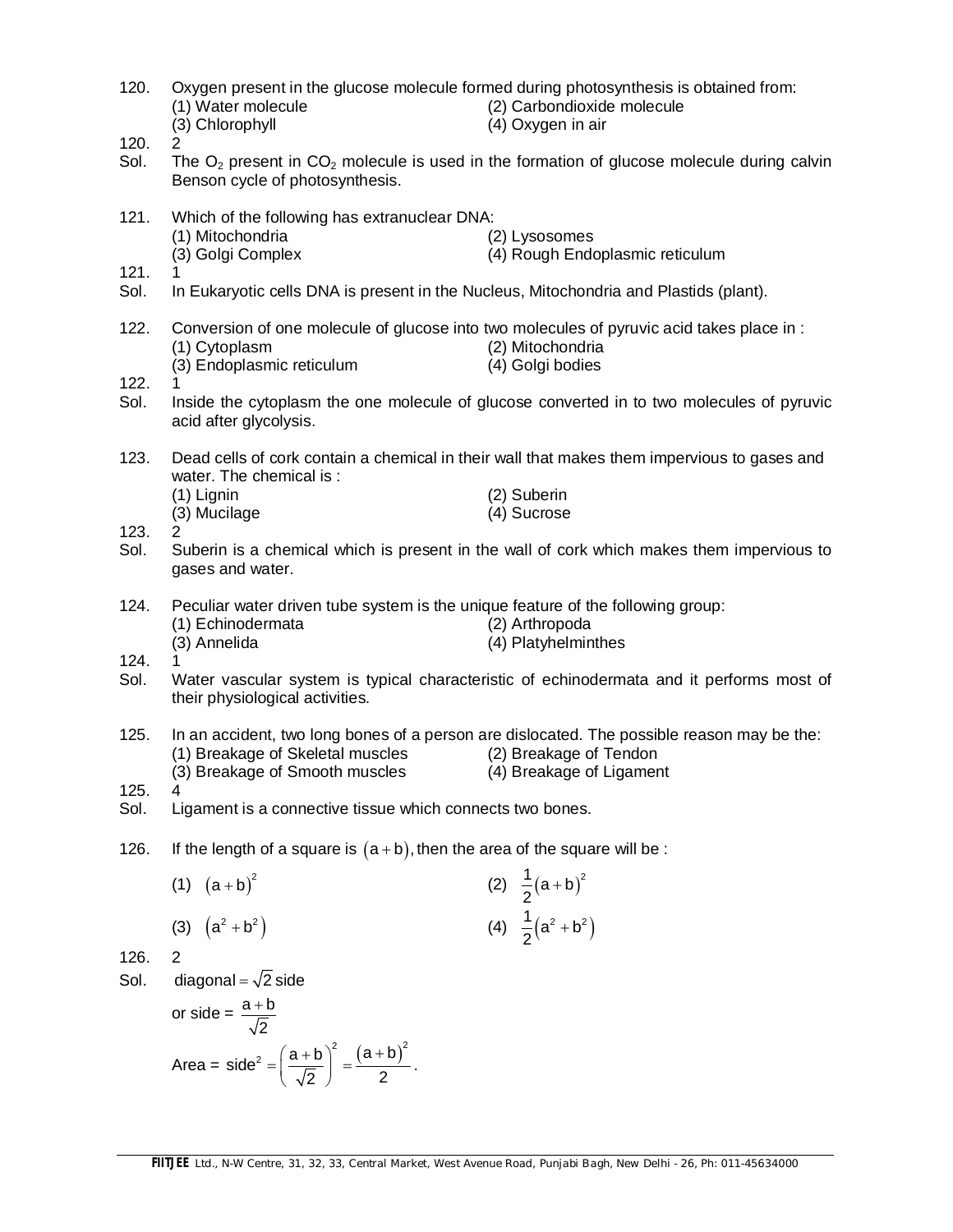| 120.         | (1) Water molecule<br>(3) Chlorophyll                                                                      | Oxygen present in the glucose molecule formed during photosynthesis is obtained from:<br>(2) Carbondioxide molecule<br>(4) Oxygen in air |
|--------------|------------------------------------------------------------------------------------------------------------|------------------------------------------------------------------------------------------------------------------------------------------|
| 120.<br>Sol. | Benson cycle of photosynthesis.                                                                            | The $O_2$ present in $CO_2$ molecule is used in the formation of glucose molecule during calvin                                          |
| 121.         | Which of the following has extranuclear DNA:<br>(1) Mitochondria                                           | (2) Lysosomes                                                                                                                            |
| 121.<br>Sol. | (3) Golgi Complex<br>In Eukaryotic cells DNA is present in the Nucleus, Mitochondria and Plastids (plant). | (4) Rough Endoplasmic reticulum                                                                                                          |
|              |                                                                                                            |                                                                                                                                          |
| 122.         | (1) Cytoplasm<br>(3) Endoplasmic reticulum                                                                 | Conversion of one molecule of glucose into two molecules of pyruvic acid takes place in :<br>(2) Mitochondria<br>(4) Golgi bodies        |
| 122.<br>Sol. | acid after glycolysis.                                                                                     | Inside the cytoplasm the one molecule of glucose converted in to two molecules of pyruvic                                                |
| 123.         |                                                                                                            | Dead cells of cork contain a chemical in their wall that makes them impervious to gases and                                              |
|              | water. The chemical is:<br>(1) Lignin                                                                      | (2) Suberin                                                                                                                              |
|              | (3) Mucilage                                                                                               | (4) Sucrose                                                                                                                              |
| 123.<br>Sol. | 2<br>gases and water.                                                                                      | Suberin is a chemical which is present in the wall of cork which makes them impervious to                                                |
| 124.         | Peculiar water driven tube system is the unique feature of the following group:                            |                                                                                                                                          |
|              | (1) Echinodermata<br>(3) Annelida                                                                          | (2) Arthropoda<br>(4) Platyhelminthes                                                                                                    |
| 124.<br>Sol. | their physiological activities.                                                                            | Water vascular system is typical characteristic of echinodermata and it performs most of                                                 |
| 125.         | (1) Breakage of Skeletal muscles                                                                           | In an accident, two long bones of a person are dislocated. The possible reason may be the:<br>(2) Breakage of Tendon                     |
| 125.         | (3) Breakage of Smooth muscles                                                                             | (4) Breakage of Ligament                                                                                                                 |
| Sol.         | Ligament is a connective tissue which connects two bones.                                                  |                                                                                                                                          |
| 126.         | If the length of a square is $(a + b)$ , then the area of the square will be :                             |                                                                                                                                          |
|              | (1) $(a+b)^2$                                                                                              | (2) $\frac{1}{2}(a+b)^2$                                                                                                                 |
|              | (3) $(a^2 + b^2)$                                                                                          | (4) $\frac{1}{2} (a^2 + b^2)$                                                                                                            |
| 126.         | 2                                                                                                          |                                                                                                                                          |
| Sol.         | diagonal = $\sqrt{2}$ side                                                                                 |                                                                                                                                          |
|              | or side = $\frac{a+b}{\sqrt{2}}$                                                                           |                                                                                                                                          |
|              | Area = side <sup>2</sup> = $\left(\frac{a+b}{\sqrt{2}}\right)^2 = \frac{(a+b)^2}{2}$ .                     |                                                                                                                                          |
|              |                                                                                                            |                                                                                                                                          |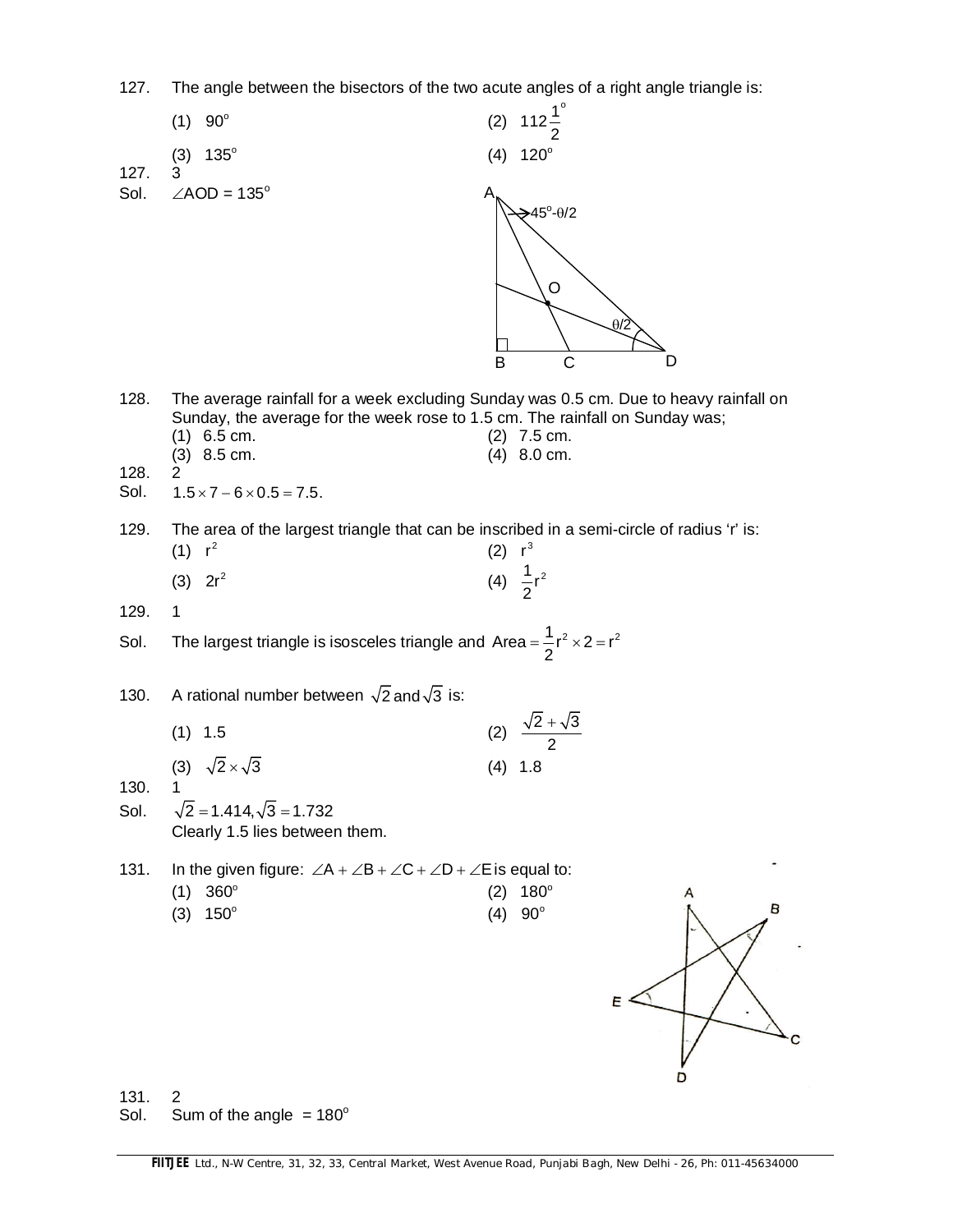127. The angle between the bisectors of the two acute angles of a right angle triangle is:

|                      | (1)<br>$90^{\circ}$                                                                                                                                                                                                                                   | (2)       | $112\frac{1}{2}^{\circ}$                                  |
|----------------------|-------------------------------------------------------------------------------------------------------------------------------------------------------------------------------------------------------------------------------------------------------|-----------|-----------------------------------------------------------|
|                      | $135^\circ$<br>(3)                                                                                                                                                                                                                                    | (4)       | $120^\circ$                                               |
| 127.<br>Sol.         | 3<br>$\angle AOD = 135^\circ$                                                                                                                                                                                                                         | Α<br>B    | $\geq 45^\circ \cdot 0/2$<br>$\circ$<br>D<br>$\mathsf{C}$ |
| 128.<br>128.<br>Sol. | The average rainfall for a week excluding Sunday was 0.5 cm. Due to heavy rainfall on<br>Sunday, the average for the week rose to 1.5 cm. The rainfall on Sunday was;<br>$(1)$ 6.5 cm.<br>$(3)$ 8.5 cm.<br>2<br>$1.5 \times 7 - 6 \times 0.5 = 7.5$ . |           | $(2)$ 7.5 cm.<br>$(4)$ 8.0 cm.                            |
| 129.                 | The area of the largest triangle that can be inscribed in a semi-circle of radius 'r' is:<br>(1) r <sup>2</sup>                                                                                                                                       | (2) $r^3$ |                                                           |
|                      | $(3)$ 2r <sup>2</sup>                                                                                                                                                                                                                                 |           | (4) $\frac{1}{2}r^2$                                      |
| 129.                 | $\mathbf{1}$                                                                                                                                                                                                                                          |           |                                                           |
| Sol.                 | The largest triangle is isosceles triangle and Area = $\frac{1}{2}r^2 \times 2 = r^2$                                                                                                                                                                 |           |                                                           |
| 130.                 | A rational number between $\sqrt{2}$ and $\sqrt{3}$ is:                                                                                                                                                                                               |           |                                                           |
|                      | $(1)$ 1.5                                                                                                                                                                                                                                             |           | (2) $\frac{\sqrt{2} + \sqrt{3}}{2}$                       |
|                      | (3) $\sqrt{2} \times \sqrt{3}$                                                                                                                                                                                                                        |           | $(4)$ 1.8                                                 |
| 130.<br>Sol.         | 1<br>$\sqrt{2}$ = 1.414, $\sqrt{3}$ = 1.732<br>Clearly 1.5 lies between them.                                                                                                                                                                         |           |                                                           |
| 131.                 | In the given figure: $\angle A + \angle B + \angle C + \angle D + \angle E$ is equal to:                                                                                                                                                              |           |                                                           |
|                      | $360^\circ$<br>(1)                                                                                                                                                                                                                                    | (2)       | $180^\circ$<br>B                                          |
|                      | $150^\circ$<br>(3)                                                                                                                                                                                                                                    | (4)       | $90^\circ$<br>E                                           |

131. 2<br>Sol. Si

Sum of the angle  $= 180^\circ$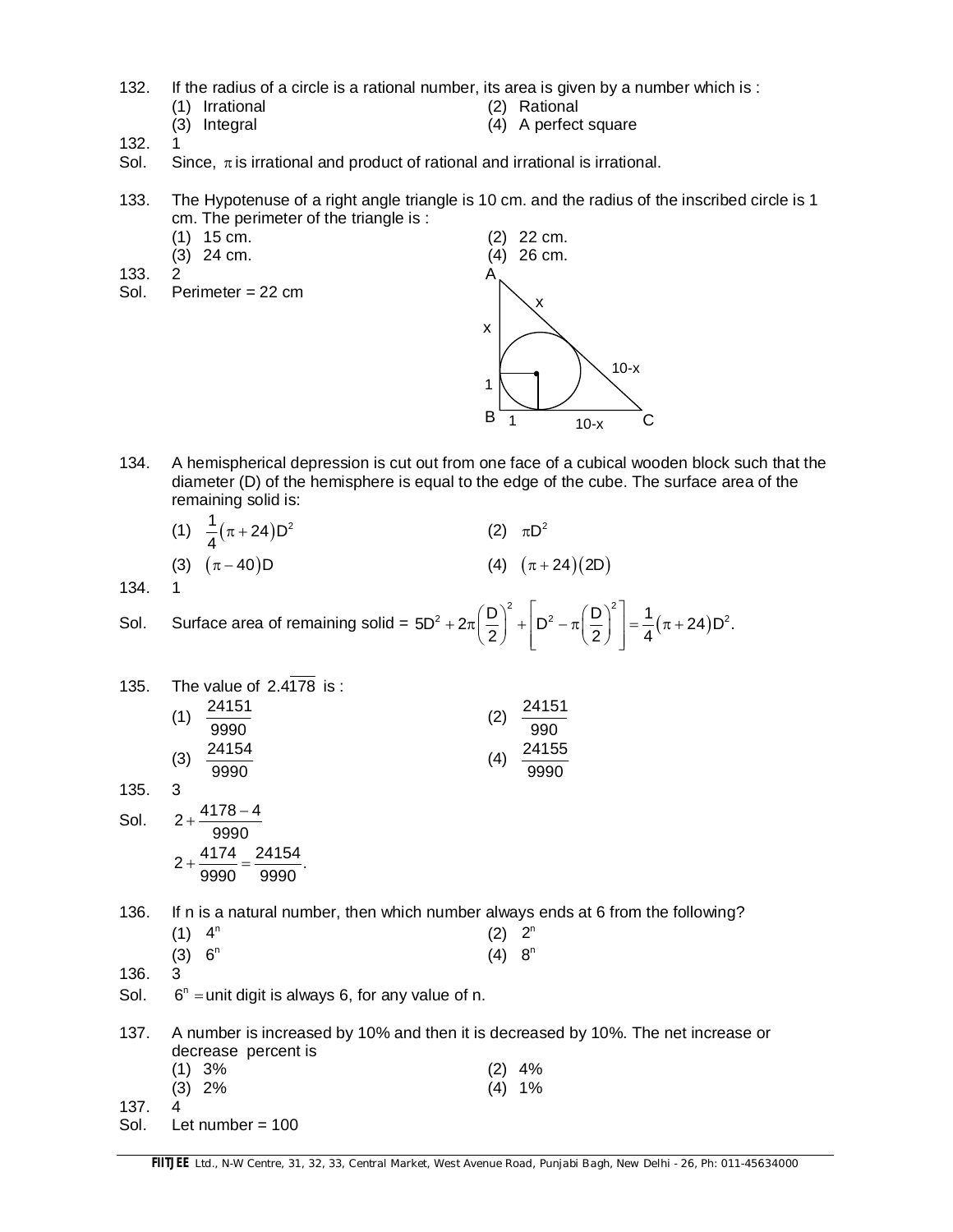- 132. If the radius of a circle is a rational number, its area is given by a number which is :
	- (1) Irrational (2) Rational
		-
- 
- (3) Integral (4) A perfect square
- 132. 1
- Sol. Since,  $\pi$  is irrational and product of rational and irrational is irrational.
- 133. The Hypotenuse of a right angle triangle is 10 cm. and the radius of the inscribed circle is 1 cm. The perimeter of the triangle is :
	-
	-
- 133. 2
- Sol. Perimeter = 22 cm



134. A hemispherical depression is cut out from one face of a cubical wooden block such that the diameter (D) of the hemisphere is equal to the edge of the cube. The surface area of the remaining solid is:

| (1) $\frac{1}{4}(\pi + 24)D^2$ | (2) $\pi D^2$        |
|--------------------------------|----------------------|
| (3) $(\pi - 40)D$              | (4) $(\pi + 24)(2D)$ |

134.

Sol. Surface area of remaining solid =  $5D^2 + 2\pi \left| \frac{D}{2} \right| + |D^2 - \pi \left| \frac{D}{2} \right| = \frac{1}{4} (\pi + 24)$  $5D^2 + 2\pi \left(\frac{D}{2}\right)^2 + D^2 - \pi \left(\frac{D}{2}\right)^2 = \frac{1}{2}(\pi + 24)D^2.$  $2)$   $(2)$  4  $(D)^2$   $\vert_{D^2}$   $\sim$   $(D)^2$   $\vert$  $+2\pi\left(\frac{2}{2}\right)+\left[\frac{D^2-\pi\left(\frac{2}{2}\right)}{2}\right]=\frac{1}{4}(\pi+2)$ 

| 135. | The value of 2.4178 is:                                                                                  |                       |
|------|----------------------------------------------------------------------------------------------------------|-----------------------|
|      | 24151                                                                                                    | 24151                 |
|      | (1)<br>9990                                                                                              | (2)<br>990            |
|      | 24154<br>(3)                                                                                             | 24155<br>(4)          |
|      | 9990                                                                                                     | 9990                  |
| 135. | 3                                                                                                        |                       |
| Sol. | $4178 - 4$<br>$2+$<br>9990                                                                               |                       |
|      | 24154<br>4174<br>$2+$<br>9990<br>9990                                                                    |                       |
| 136. | If n is a natural number, then which number always ends at 6 from the following?                         |                       |
|      | 4 <sup>n</sup><br>(1)                                                                                    | 2 <sup>n</sup><br>(2) |
|      | 6 <sup>n</sup><br>(3)                                                                                    | 8 <sup>n</sup><br>(4) |
| 136. | 3                                                                                                        |                       |
| Sol. | $6n$ = unit digit is always 6, for any value of n.                                                       |                       |
| 137. | A number is increased by 10% and then it is decreased by 10%. The net increase or<br>decrease percent is |                       |
|      | (1) 3%                                                                                                   | (2) 4%                |

- (3) 2% (4) 1%
- 137. 4

Sol. Let number = 100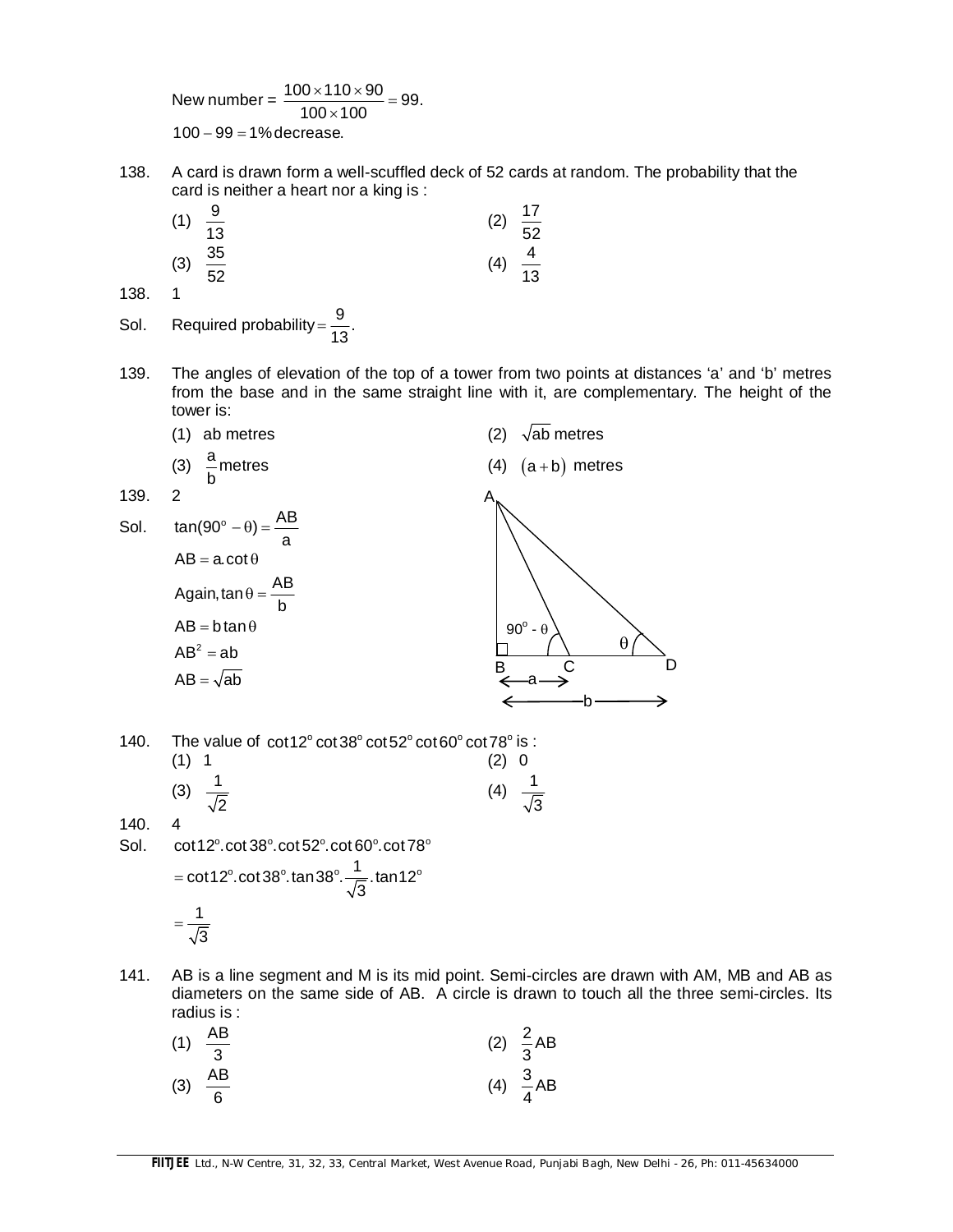New number =  $\frac{100 \times 110 \times 90}{100 \times 100}$  = 99.  $100 \times 100$  $\frac{\times 110 \times 90}{25} =$  $\times$  $100 - 99 = 1%$  decrease.

138. A card is drawn form a well-scuffled deck of 52 cards at random. The probability that the card is neither a heart nor a king is :

| (1)      | $\frac{9}{13}$  | (2) | $\frac{17}{52}$ |
|----------|-----------------|-----|-----------------|
| (3)<br>1 | $\frac{35}{52}$ | (4) | $\frac{4}{13}$  |

138. 1

Sol. Required probability =  $\frac{9}{10}$ . 13  $=$ 

139. The angles of elevation of the top of a tower from two points at distances 'a' and 'b' metres from the base and in the same straight line with it, are complementary. The height of the tower is:

|      | ab metres                                     | $\sqrt{ab}$ metres<br>(2) |
|------|-----------------------------------------------|---------------------------|
|      | $\frac{a}{b}$ metres<br>$(3)$                 | (4) $(a+b)$ metres        |
| 139. | 2                                             |                           |
| Sol. | $\tan(90^\circ - \theta) = \frac{AB}{a}$<br>a |                           |
|      | $AB = a \cdot \cot \theta$                    |                           |
|      | Again, $\tan \theta = \frac{AB}{b}$           |                           |
|      | $AB = b \tan \theta$                          | $90^{\circ}$ - $\theta$   |
|      | $AB^2 = ab$                                   | θ                         |
|      | $AB = \sqrt{ab}$                              | B                         |
|      |                                               |                           |

140. The value of  $cot 12^\circ cot 38^\circ cot 52^\circ cot 60^\circ cot 78^\circ is$ : (1) 1 (2) 0

|                | (3) $\frac{1}{\sqrt{2}}$ | (4) $\frac{1}{\sqrt{3}}$ |  |
|----------------|--------------------------|--------------------------|--|
|                |                          |                          |  |
| $\overline{ }$ |                          |                          |  |

140. 4

- Sol.  $\cot 12^\circ \cdot \cot 38^\circ \cdot \cot 52^\circ \cdot \cot 60^\circ \cdot \cot 78^\circ$ cot12° cot38° tan38° . $\frac{1}{\sqrt{2}}$  tan12° 3 1 3  $=$  $=$
- 141. AB is a line segment and M is its mid point. Semi-circles are drawn with AM, MB and AB as diameters on the same side of AB. A circle is drawn to touch all the three semi-circles. Its radius is :

| (1) $\frac{AB}{3}$ | (2) $\frac{2}{3}AB$ |
|--------------------|---------------------|
| (3) $\frac{AB}{6}$ | (4) $\frac{3}{4}AB$ |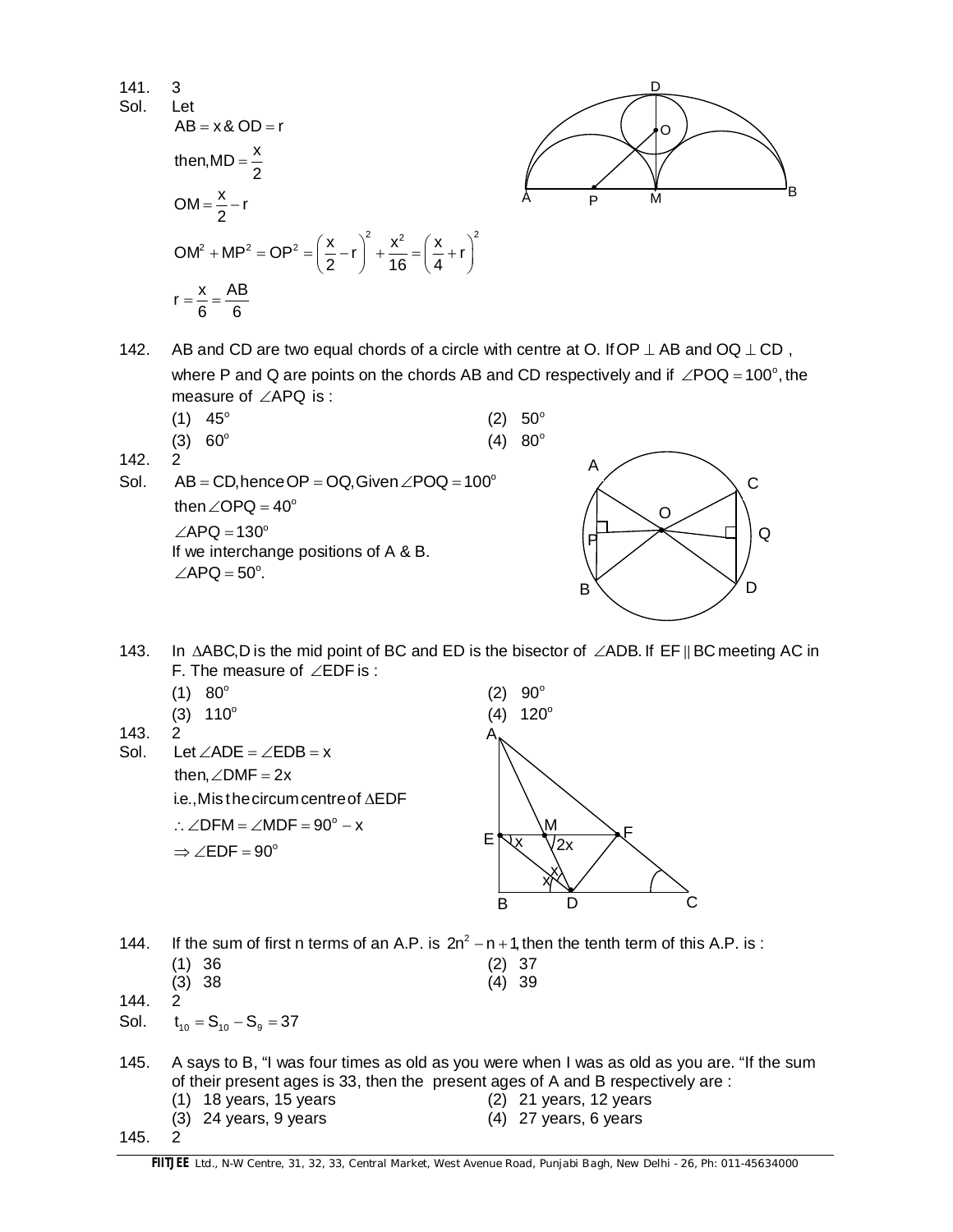141. 3  
\nSol. Let  
\n
$$
AB = x \& OD = r
$$
  
\nthen,  $MD = \frac{x}{2}$   
\n $OM = \frac{x}{2} - r$   
\n $OM^2 + MP^2 = OP^2 = \left(\frac{x}{2} - r\right)^2 + \frac{x^2}{16} = \left(\frac{x}{4} + r\right)^2$   
\n $r = \frac{x}{6} = \frac{AB}{6}$ 

$$
\left(\begin{matrix} \begin{matrix} \begin{matrix} 0 \\ \mathbf{0} \end{matrix} \\ \mathbf{0} \end{matrix} \\ \begin{matrix} \mathbf{0} \end{matrix} \\ \mathbf{0} \end{matrix} \end{matrix} \right)_{B}
$$

142. AB and CD are two equal chords of a circle with centre at O. If OP  $\perp$  AB and OQ  $\perp$  CD, where P and Q are points on the chords AB and CD respectively and if  $\angle POQ = 100^\circ$ , the measure of  $\angle$ APQ is :

| $(1)$ 45 <sup>°</sup> | $(2) 50^{\circ}$ |                  |
|-----------------------|------------------|------------------|
| $(3) 60^{\circ}$      |                  | $(4) 80^{\circ}$ |

- 142. 2
- Sol.  $AB = CD$ , hence OP = OQ, Given  $\angle POQ = 100^\circ$ then  $\angle$ OPQ = 40 $^{\circ}$  $\angle$ APQ = 130 $^{\circ}$ If we interchange positions of A & B.  $\angle$ APQ = 50 $^{\circ}$ .



143. In  $\triangle ABC$ , D is the mid point of BC and ED is the bisector of  $\angle ADB$ . If EF || BC meeting AC in F. The measure of  $\angle EDF$  is :



- 144. If the sum of first n terms of an A.P. is  $2n^2 n + 1$ , then the tenth term of this A.P. is : (1) 36 (2) 37 (3) 38 (4) 39
- 144. 2
- Sol.  $t_{10} = S_{10} S_{9} = 37$
- 145. A says to B, "I was four times as old as you were when I was as old as you are. "If the sum of their present ages is 33, then the present ages of A and B respectively are : (1) 18 years, 15 years (2) 21 years, 12 years
	-
- 
- 

(3) 24 years, 9 years (4) 27 years, 6 years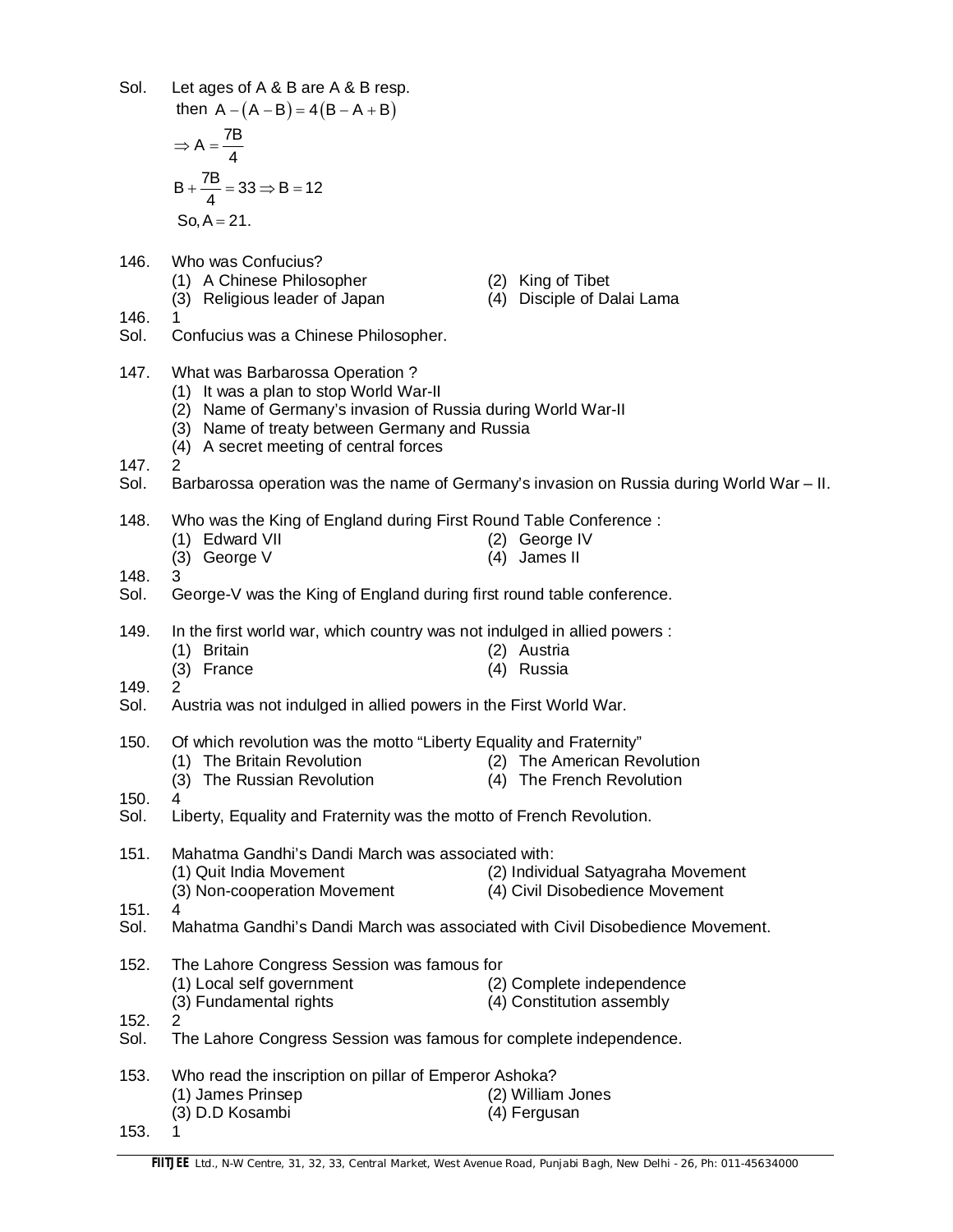| Sol.         | Let ages of $A \& B$ are $A \& B$ resp.<br>then $A - (A - B) = 4(B - A + B)$                                                                                                                                                        |                                                                       |
|--------------|-------------------------------------------------------------------------------------------------------------------------------------------------------------------------------------------------------------------------------------|-----------------------------------------------------------------------|
|              | $\Rightarrow$ A = $\frac{7B}{4}$                                                                                                                                                                                                    |                                                                       |
|              | $B + \frac{7B}{4} = 33 \Rightarrow B = 12$                                                                                                                                                                                          |                                                                       |
|              | $So, A = 21.$                                                                                                                                                                                                                       |                                                                       |
| 146.<br>146. | Who was Confucius?<br>(1) A Chinese Philosopher<br>(2) King of Tibet<br>(3) Religious leader of Japan                                                                                                                               | (4) Disciple of Dalai Lama                                            |
| Sol.         | Confucius was a Chinese Philosopher.                                                                                                                                                                                                |                                                                       |
| 147.         | What was Barbarossa Operation?<br>(1) It was a plan to stop World War-II<br>(2) Name of Germany's invasion of Russia during World War-II<br>(3) Name of treaty between Germany and Russia<br>(4) A secret meeting of central forces |                                                                       |
| 147.<br>Sol. | 2<br>Barbarossa operation was the name of Germany's invasion on Russia during World War - II.                                                                                                                                       |                                                                       |
| 148.         | Who was the King of England during First Round Table Conference :                                                                                                                                                                   |                                                                       |
|              | (1) Edward VII<br>(2) George IV<br>(3) George V<br>(4) James II                                                                                                                                                                     |                                                                       |
| 148.<br>Sol. | 3<br>George-V was the King of England during first round table conference.                                                                                                                                                          |                                                                       |
| 149.         | In the first world war, which country was not indulged in allied powers :                                                                                                                                                           |                                                                       |
|              | (1) Britain<br>(2) Austria<br>(3) France<br>(4) Russia                                                                                                                                                                              |                                                                       |
| 149.<br>Sol. | 2<br>Austria was not indulged in allied powers in the First World War.                                                                                                                                                              |                                                                       |
| 150.         | Of which revolution was the motto "Liberty Equality and Fraternity"<br>(1) The Britain Revolution<br>(3) The Russian Revolution                                                                                                     | (2) The American Revolution<br>(4) The French Revolution              |
| 150.<br>Sol. | 4<br>Liberty, Equality and Fraternity was the motto of French Revolution.                                                                                                                                                           |                                                                       |
| 151.         | Mahatma Gandhi's Dandi March was associated with:                                                                                                                                                                                   |                                                                       |
|              | (1) Quit India Movement<br>(3) Non-cooperation Movement                                                                                                                                                                             | (2) Individual Satyagraha Movement<br>(4) Civil Disobedience Movement |
| 151.<br>Sol. | 4<br>Mahatma Gandhi's Dandi March was associated with Civil Disobedience Movement.                                                                                                                                                  |                                                                       |
| 152.         | The Lahore Congress Session was famous for<br>(1) Local self government                                                                                                                                                             | (2) Complete independence                                             |
| 152.<br>Sol. | (3) Fundamental rights<br>2<br>The Lahore Congress Session was famous for complete independence.                                                                                                                                    | (4) Constitution assembly                                             |
| 153.         | Who read the inscription on pillar of Emperor Ashoka?                                                                                                                                                                               |                                                                       |
|              | (1) James Prinsep<br>(2) William Jones<br>(3) D.D Kosambi<br>(4) Fergusan                                                                                                                                                           |                                                                       |
| 153.         | 1                                                                                                                                                                                                                                   |                                                                       |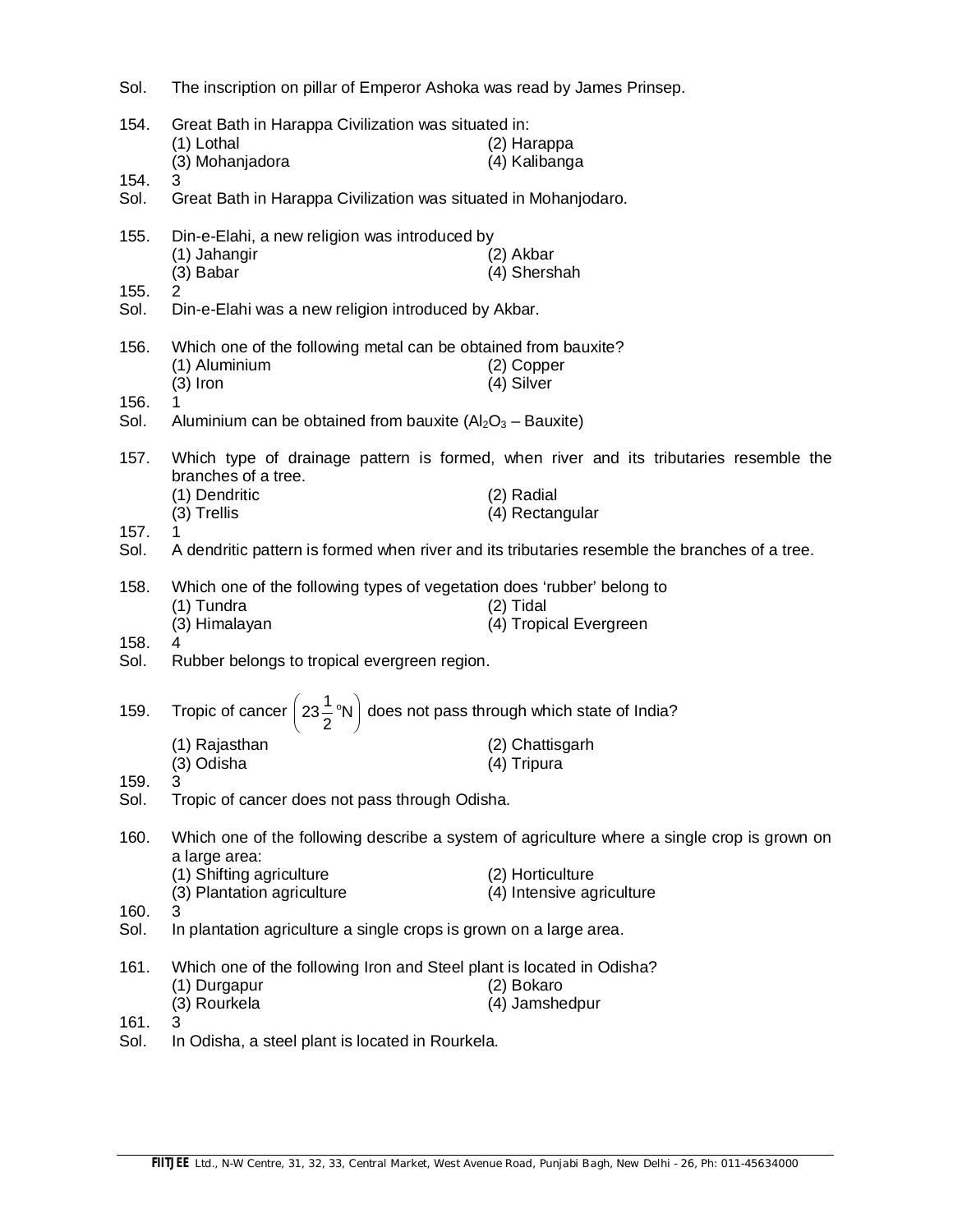| Sol.         | The inscription on pillar of Emperor Ashoka was read by James Prinsep.                                                                      |                                                                                               |  |
|--------------|---------------------------------------------------------------------------------------------------------------------------------------------|-----------------------------------------------------------------------------------------------|--|
| 154.         | Great Bath in Harappa Civilization was situated in:<br>(1) Lothal<br>(3) Mohanjadora                                                        | (2) Harappa<br>(4) Kalibanga                                                                  |  |
| 154.<br>Sol. | 3<br>Great Bath in Harappa Civilization was situated in Mohanjodaro.                                                                        |                                                                                               |  |
| 155.         | Din-e-Elahi, a new religion was introduced by<br>(1) Jahangir<br>(3) Babar                                                                  | (2) Akbar<br>(4) Shershah                                                                     |  |
| 155.<br>Sol. | 2<br>Din-e-Elahi was a new religion introduced by Akbar.                                                                                    |                                                                                               |  |
| 156.<br>156. | Which one of the following metal can be obtained from bauxite?<br>(1) Aluminium<br>$(3)$ Iron                                               | (2) Copper<br>(4) Silver                                                                      |  |
| Sol.         | 1<br>Aluminium can be obtained from bauxite $(AI_2O_3 - Bauxite)$                                                                           |                                                                                               |  |
| 157.         | Which type of drainage pattern is formed, when river and its tributaries resemble the<br>branches of a tree.<br>(1) Dendritic<br>(2) Radial |                                                                                               |  |
| 157.         | (3) Trellis<br>1                                                                                                                            | (4) Rectangular                                                                               |  |
| Sol.         |                                                                                                                                             | A dendritic pattern is formed when river and its tributaries resemble the branches of a tree. |  |
| 158.         | Which one of the following types of vegetation does 'rubber' belong to<br>(1) Tundra<br>(3) Himalayan                                       | $(2)$ Tidal<br>(4) Tropical Evergreen                                                         |  |
| 158.<br>Sol. | 4<br>Rubber belongs to tropical evergreen region.                                                                                           |                                                                                               |  |
| 159.         | Tropic of cancer $\left(23\frac{1}{2}$ °N $\right)$ does not pass through which state of India?                                             |                                                                                               |  |
| 159.         | (1) Rajasthan<br>(3) Odisha<br>3                                                                                                            | (2) Chattisgarh<br>(4) Tripura                                                                |  |
| Sol.         | Tropic of cancer does not pass through Odisha.                                                                                              |                                                                                               |  |
| 160.         | Which one of the following describe a system of agriculture where a single crop is grown on<br>a large area:                                |                                                                                               |  |
|              | (1) Shifting agriculture<br>(3) Plantation agriculture                                                                                      | (2) Horticulture<br>(4) Intensive agriculture                                                 |  |
| 160.<br>Sol. | 3<br>In plantation agriculture a single crops is grown on a large area.                                                                     |                                                                                               |  |
| 161.         | Which one of the following Iron and Steel plant is located in Odisha?<br>(1) Durgapur<br>(2) Bokaro<br>(3) Rourkela<br>(4) Jamshedpur       |                                                                                               |  |
| 161.<br>Sol. | 3<br>In Odisha, a steel plant is located in Rourkela.                                                                                       |                                                                                               |  |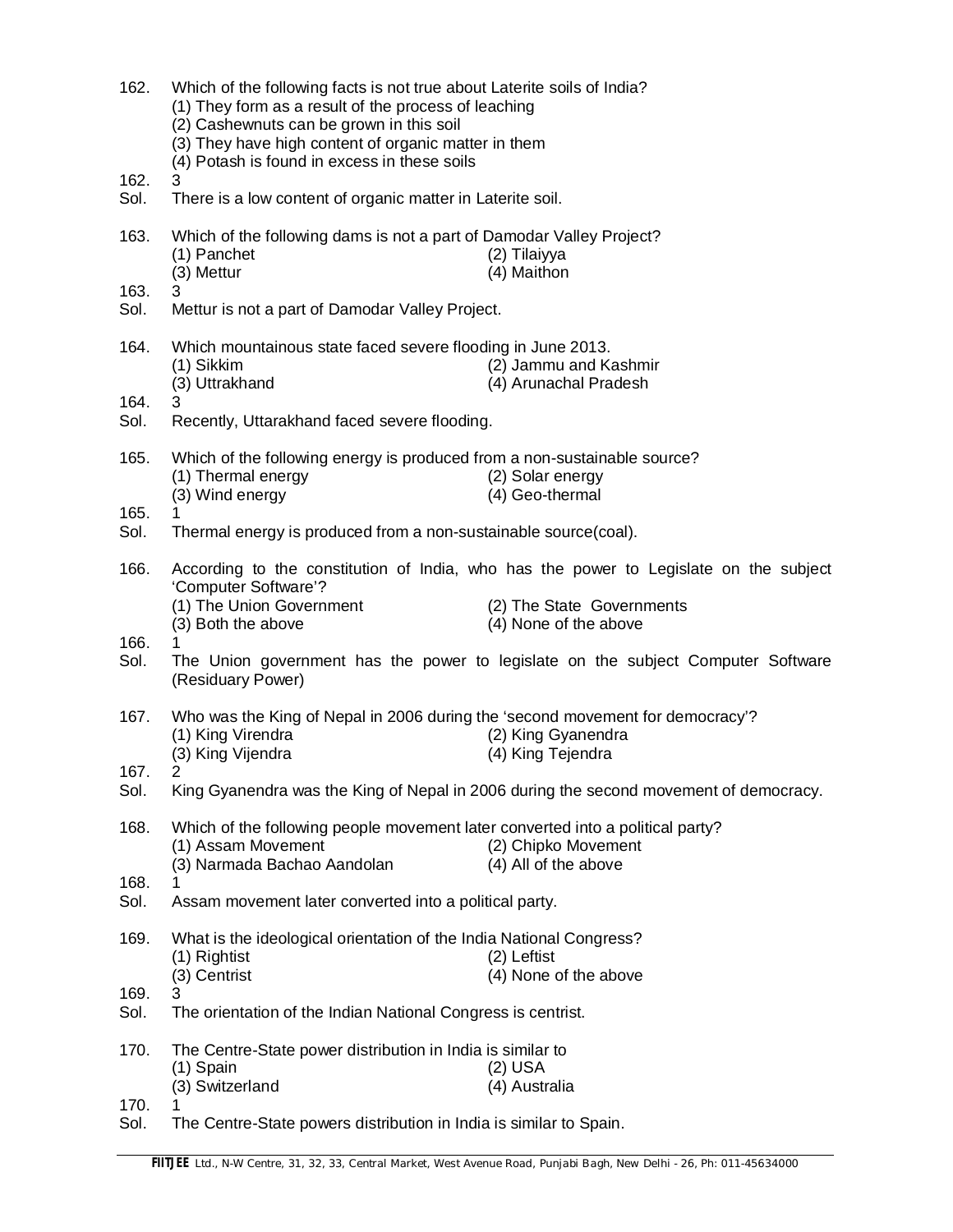| 162.         | Which of the following facts is not true about Laterite soils of India?<br>(1) They form as a result of the process of leaching<br>(2) Cashewnuts can be grown in this soil<br>(3) They have high content of organic matter in them<br>(4) Potash is found in excess in these soils |                                                                                                            |  |
|--------------|-------------------------------------------------------------------------------------------------------------------------------------------------------------------------------------------------------------------------------------------------------------------------------------|------------------------------------------------------------------------------------------------------------|--|
| 162.<br>Sol. | 3<br>There is a low content of organic matter in Laterite soil.                                                                                                                                                                                                                     |                                                                                                            |  |
| 163.         | Which of the following dams is not a part of Damodar Valley Project?<br>(1) Panchet<br>(3) Mettur                                                                                                                                                                                   | (2) Tilaiyya<br>(4) Maithon                                                                                |  |
| 163.<br>Sol. | 3<br>Mettur is not a part of Damodar Valley Project.                                                                                                                                                                                                                                |                                                                                                            |  |
| 164.         | Which mountainous state faced severe flooding in June 2013.<br>(1) Sikkim                                                                                                                                                                                                           | (2) Jammu and Kashmir                                                                                      |  |
| 164.<br>Sol. | (3) Uttrakhand<br>3<br>Recently, Uttarakhand faced severe flooding.                                                                                                                                                                                                                 | (4) Arunachal Pradesh                                                                                      |  |
|              |                                                                                                                                                                                                                                                                                     |                                                                                                            |  |
| 165.         | Which of the following energy is produced from a non-sustainable source?<br>(1) Thermal energy<br>(3) Wind energy                                                                                                                                                                   | (2) Solar energy<br>(4) Geo-thermal                                                                        |  |
| 165.<br>Sol. | Thermal energy is produced from a non-sustainable source(coal).                                                                                                                                                                                                                     |                                                                                                            |  |
| 166.         | According to the constitution of India, who has the power to Legislate on the subject<br>'Computer Software'?                                                                                                                                                                       |                                                                                                            |  |
|              | (1) The Union Government<br>(3) Both the above                                                                                                                                                                                                                                      | (2) The State Governments<br>(4) None of the above                                                         |  |
| 166.<br>Sol. | (Residuary Power)                                                                                                                                                                                                                                                                   | The Union government has the power to legislate on the subject Computer Software                           |  |
| 167.         | Who was the King of Nepal in 2006 during the 'second movement for democracy'?<br>(1) King Virendra                                                                                                                                                                                  | (2) King Gyanendra                                                                                         |  |
| 167.<br>Sol. | (3) King Vijendra<br>2                                                                                                                                                                                                                                                              | (4) King Tejendra<br>King Gyanendra was the King of Nepal in 2006 during the second movement of democracy. |  |
| 168.         | Which of the following people movement later converted into a political party?                                                                                                                                                                                                      |                                                                                                            |  |
|              | (1) Assam Movement<br>(3) Narmada Bachao Aandolan                                                                                                                                                                                                                                   | (2) Chipko Movement<br>(4) All of the above                                                                |  |
| 168.<br>Sol. | Assam movement later converted into a political party.                                                                                                                                                                                                                              |                                                                                                            |  |
| 169.         | What is the ideological orientation of the India National Congress?<br>(1) Rightist                                                                                                                                                                                                 | (2) Leftist                                                                                                |  |
| 169.         | (3) Centrist<br>3                                                                                                                                                                                                                                                                   | (4) None of the above                                                                                      |  |
| Sol.         | The orientation of the Indian National Congress is centrist.                                                                                                                                                                                                                        |                                                                                                            |  |
| 170.         | The Centre-State power distribution in India is similar to<br>(1) Spain                                                                                                                                                                                                             | (2) USA                                                                                                    |  |
| 170.         | (3) Switzerland                                                                                                                                                                                                                                                                     | (4) Australia                                                                                              |  |
| Sol.         | The Centre-State powers distribution in India is similar to Spain.                                                                                                                                                                                                                  |                                                                                                            |  |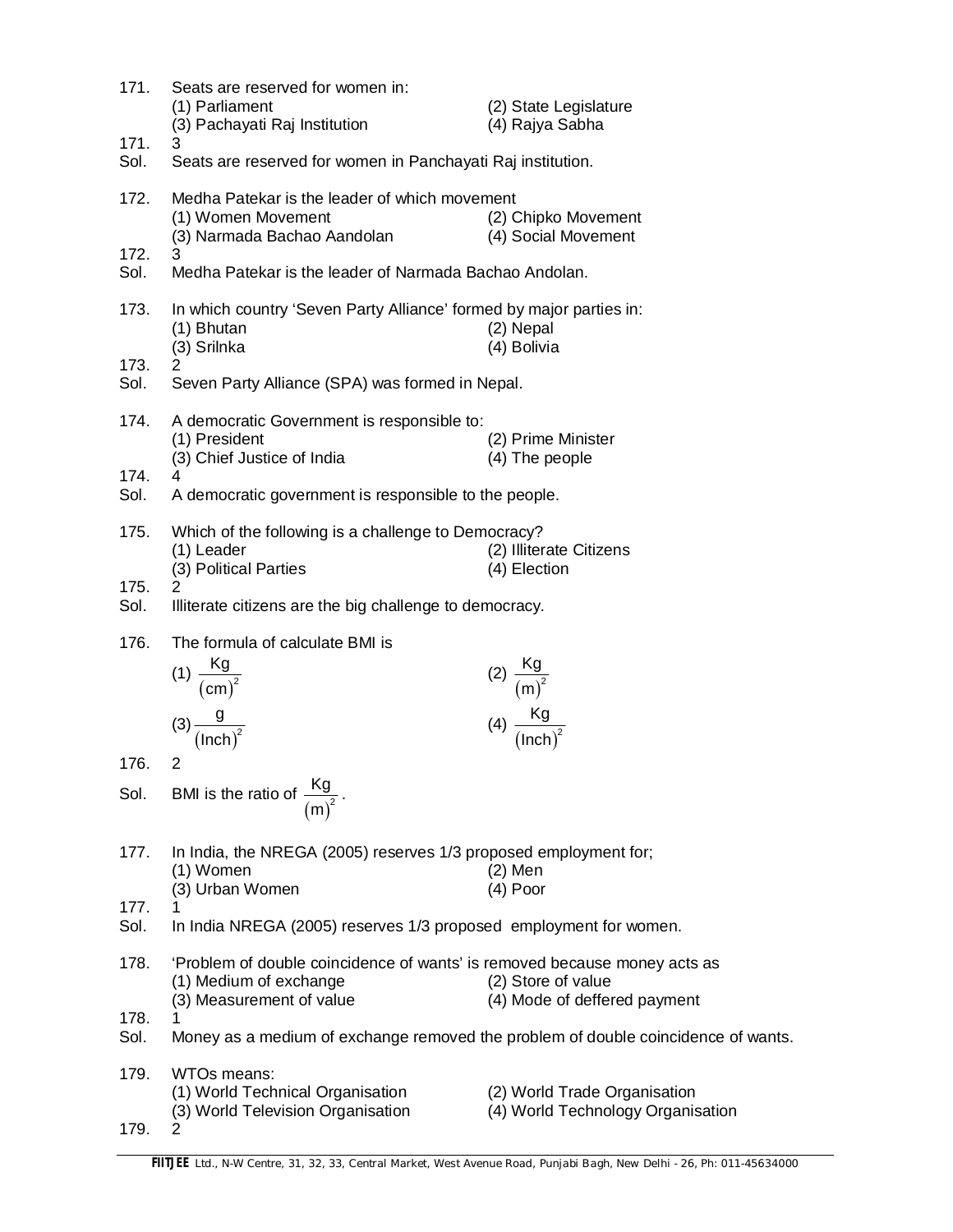| 171.         | Seats are reserved for women in:<br>(1) Parliament<br>(3) Pachayati Raj Institution                                             | (2) State Legislature<br>(4) Rajya Sabha                          |  |
|--------------|---------------------------------------------------------------------------------------------------------------------------------|-------------------------------------------------------------------|--|
| 171.<br>Sol. | 3.<br>Seats are reserved for women in Panchayati Raj institution.                                                               |                                                                   |  |
| 172.         | Medha Patekar is the leader of which movement<br>(1) Women Movement<br>(3) Narmada Bachao Aandolan                              | (2) Chipko Movement<br>(4) Social Movement                        |  |
| 172.<br>Sol. | 3<br>Medha Patekar is the leader of Narmada Bachao Andolan.                                                                     |                                                                   |  |
|              |                                                                                                                                 |                                                                   |  |
| 173.         | In which country 'Seven Party Alliance' formed by major parties in:<br>(1) Bhutan<br>(3) Srilnka                                | (2) Nepal<br>(4) Bolivia                                          |  |
| 173.         | $\overline{2}$                                                                                                                  |                                                                   |  |
| Sol.         | Seven Party Alliance (SPA) was formed in Nepal.                                                                                 |                                                                   |  |
| 174.         | A democratic Government is responsible to:<br>(1) President<br>(3) Chief Justice of India                                       | (2) Prime Minister<br>(4) The people                              |  |
| 174.<br>Sol. | 4                                                                                                                               |                                                                   |  |
|              | A democratic government is responsible to the people.                                                                           |                                                                   |  |
| 175.         | Which of the following is a challenge to Democracy?<br>(1) Leader<br>(3) Political Parties                                      | (2) Illiterate Citizens<br>(4) Election                           |  |
| 175.         | 2                                                                                                                               |                                                                   |  |
| Sol.         | Illiterate citizens are the big challenge to democracy.                                                                         |                                                                   |  |
| 176.         | The formula of calculate BMI is                                                                                                 |                                                                   |  |
|              | (1) $\frac{Kg}{(cm)^2}$                                                                                                         | (2) $\frac{Kg}{(m)^2}$<br>(4) $\frac{Kg}{(lnch)^2}$               |  |
|              | $(3)\frac{g}{(\text{Inch})^2}$                                                                                                  |                                                                   |  |
| 176.         | 2                                                                                                                               |                                                                   |  |
| Sol.         | BMI is the ratio of $\frac{Kg}{(m)^2}$                                                                                          |                                                                   |  |
| 177.         | In India, the NREGA (2005) reserves 1/3 proposed employment for;<br>(1) Women<br>(3) Urban Women                                | (2) Men<br>(4) Poor                                               |  |
| 177.<br>Sol. | In India NREGA (2005) reserves 1/3 proposed employment for women.                                                               |                                                                   |  |
| 178.         | 'Problem of double coincidence of wants' is removed because money acts as<br>(1) Medium of exchange<br>(3) Measurement of value | (2) Store of value<br>(4) Mode of deffered payment                |  |
| 178.<br>Sol. | Money as a medium of exchange removed the problem of double coincidence of wants.                                               |                                                                   |  |
| 179.         | WTOs means:<br>(1) World Technical Organisation<br>(3) World Television Organisation                                            | (2) World Trade Organisation<br>(4) World Technology Organisation |  |
| 179.         | $\overline{c}$                                                                                                                  |                                                                   |  |